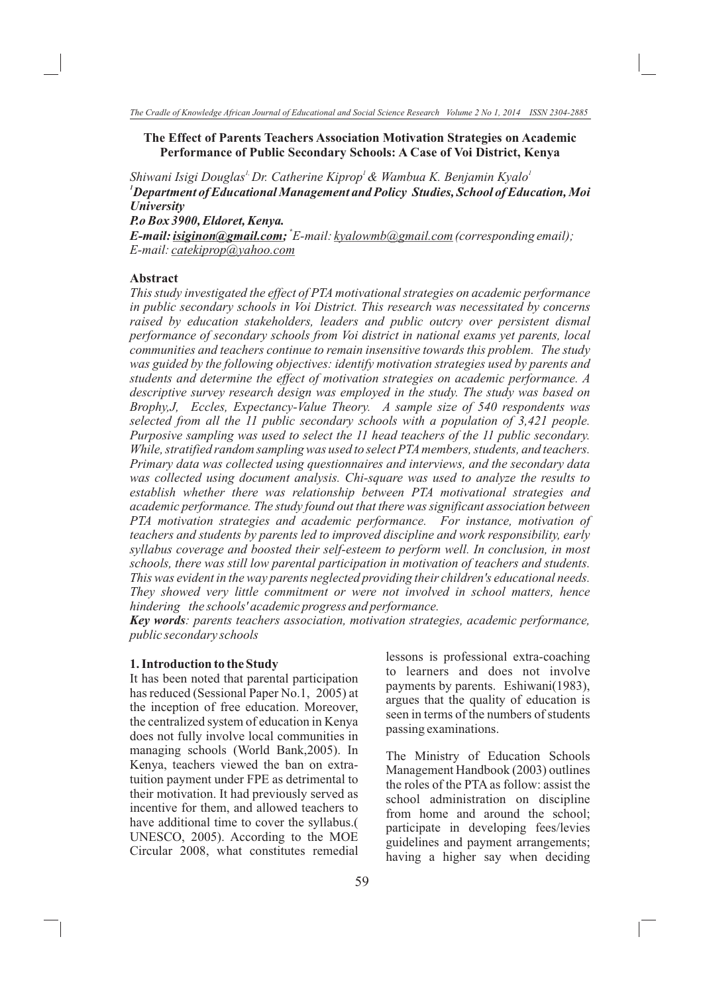### **The Effect of Parents Teachers Association Motivation Strategies on Academic Performance of Public Secondary Schools: A Case of Voi District, Kenya**

Shiwani Isigi Douglas<sup>1,</sup> Dr. Catherine Kiprop<sup>1</sup> & Wambua K. Benjamin Kyalo<sup>1</sup> *<sup>1</sup>Department of Educational Management and Policy Studies, School of Education, Moi University*

*P.o Box 3900, Eldoret, Kenya.*

*\* E-mail: isiginon@gmail.com; E-mail: kyalowmb@gmail.com (corresponding email); E-mail: catekiprop@yahoo.com* 

## **Abstract**

*This study investigated the effect of PTA motivational strategies on academic performance in public secondary schools in Voi District. This research was necessitated by concerns raised by education stakeholders, leaders and public outcry over persistent dismal performance of secondary schools from Voi district in national exams yet parents, local communities and teachers continue to remain insensitive towards this problem. The study was guided by the following objectives: identify motivation strategies used by parents and students and determine the effect of motivation strategies on academic performance. A descriptive survey research design was employed in the study. The study was based on Brophy,J, Eccles, Expectancy-Value Theory. A sample size of 540 respondents was selected from all the 11 public secondary schools with a population of 3,421 people. Purposive sampling was used to select the 11 head teachers of the 11 public secondary. While, stratified random sampling was used to select PTA members, students, and teachers. Primary data was collected using questionnaires and interviews, and the secondary data was collected using document analysis. Chi-square was used to analyze the results to establish whether there was relationship between PTA motivational strategies and academic performance. The study found out that there was significant association between PTA motivation strategies and academic performance. For instance, motivation of teachers and students by parents led to improved discipline and work responsibility, early syllabus coverage and boosted their self-esteem to perform well. In conclusion, in most schools, there was still low parental participation in motivation of teachers and students. This was evident in the way parents neglected providing their children's educational needs. They showed very little commitment or were not involved in school matters, hence hindering the schools' academic progress and performance.* 

*Key words: parents teachers association, motivation strategies, academic performance, public secondary schools*

#### **1. Introduction to the Study**

It has been noted that parental participation has reduced (Sessional Paper No.1, 2005) at the inception of free education. Moreover, the centralized system of education in Kenya does not fully involve local communities in managing schools (World Bank,2005). In Kenya, teachers viewed the ban on extratuition payment under FPE as detrimental to their motivation. It had previously served as incentive for them, and allowed teachers to have additional time to cover the syllabus.( UNESCO, 2005). According to the MOE Circular 2008, what constitutes remedial lessons is professional extra-coaching to learners and does not involve payments by parents. Eshiwani(1983), argues that the quality of education is seen in terms of the numbers of students passing examinations.

The Ministry of Education Schools Management Handbook (2003) outlines the roles of the PTA as follow: assist the school administration on discipline from home and around the school; participate in developing fees/levies guidelines and payment arrangements; having a higher say when deciding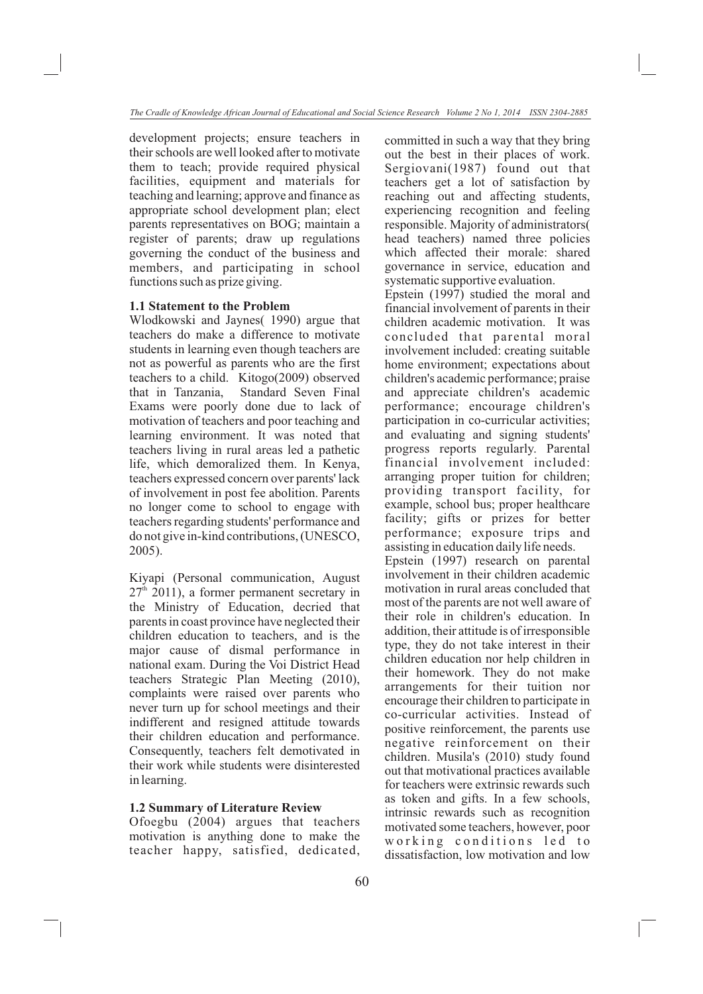development projects; ensure teachers in their schools are well looked after to motivate them to teach; provide required physical facilities, equipment and materials for teaching and learning; approve and finance as appropriate school development plan; elect parents representatives on BOG; maintain a register of parents; draw up regulations governing the conduct of the business and members, and participating in school functions such as prize giving.

#### **1.1 Statement to the Problem**

Wlodkowski and Jaynes( 1990) argue that teachers do make a difference to motivate students in learning even though teachers are not as powerful as parents who are the first teachers to a child. Kitogo(2009) observed that in Tanzania, Standard Seven Final Exams were poorly done due to lack of motivation of teachers and poor teaching and learning environment. It was noted that teachers living in rural areas led a pathetic life, which demoralized them. In Kenya, teachers expressed concern over parents' lack of involvement in post fee abolition. Parents no longer come to school to engage with teachers regarding students' performance and do not give in-kind contributions, (UNESCO, 2005).

Kiyapi (Personal communication, August  $27<sup>th</sup>$  2011), a former permanent secretary in the Ministry of Education, decried that parents in coast province have neglected their children education to teachers, and is the major cause of dismal performance in national exam. During the Voi District Head teachers Strategic Plan Meeting (2010), complaints were raised over parents who never turn up for school meetings and their indifferent and resigned attitude towards their children education and performance. Consequently, teachers felt demotivated in their work while students were disinterested in learning.

### **1.2 Summary of Literature Review**

Ofoegbu (2004) argues that teachers motivation is anything done to make the teacher happy, satisfied, dedicated, committed in such a way that they bring out the best in their places of work. Sergiovani(1987) found out that teachers get a lot of satisfaction by reaching out and affecting students, experiencing recognition and feeling responsible. Majority of administrators( head teachers) named three policies which affected their morale: shared governance in service, education and systematic supportive evaluation.

Epstein (1997) studied the moral and financial involvement of parents in their children academic motivation. It was concluded that parental moral involvement included: creating suitable home environment; expectations about children's academic performance; praise and appreciate children's academic performance; encourage children's participation in co-curricular activities; and evaluating and signing students' progress reports regularly. Parental financial involvement included: arranging proper tuition for children; providing transport facility, for example, school bus; proper healthcare facility; gifts or prizes for better performance; exposure trips and assisting in education daily life needs. Epstein (1997) research on parental involvement in their children academic motivation in rural areas concluded that most of the parents are not well aware of their role in children's education. In addition, their attitude is of irresponsible type, they do not take interest in their children education nor help children in their homework. They do not make arrangements for their tuition nor encourage their children to participate in co-curricular activities. Instead of positive reinforcement, the parents use negative reinforcement on their children. Musila's (2010) study found out that motivational practices available for teachers were extrinsic rewards such as token and gifts. In a few schools, intrinsic rewards such as recognition

motivated some teachers, however, poor working conditions led to dissatisfaction, low motivation and low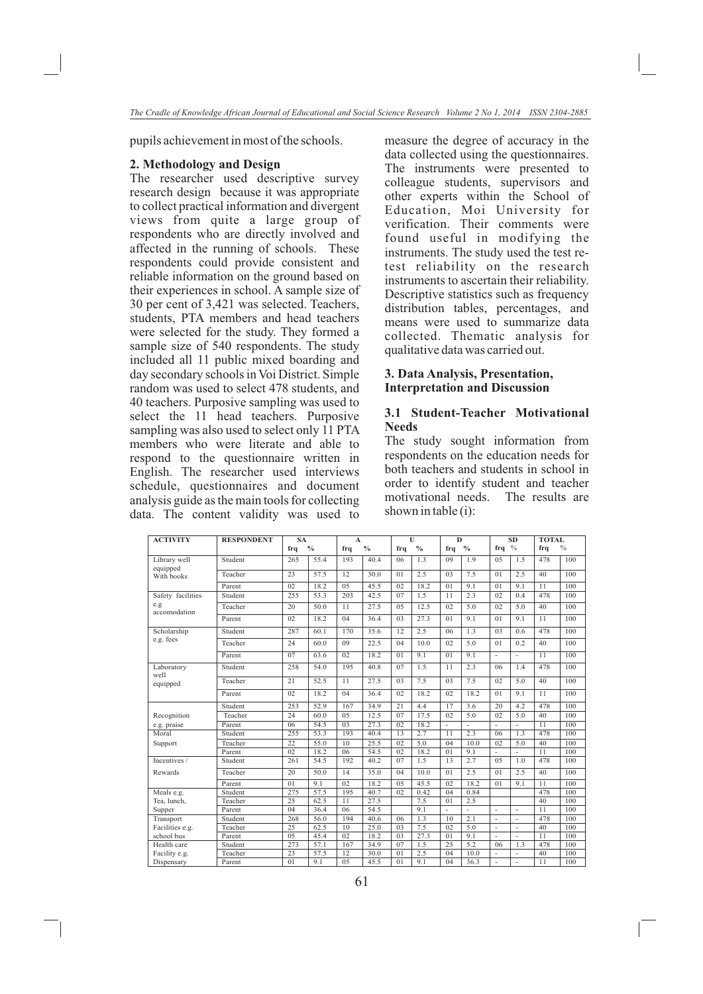pupils achievement in most of the schools.

#### **2. Methodology and Design**

The researcher used descriptive survey research design because it was appropriate to collect practical information and divergent views from quite a large group of respondents who are directly involved and affected in the running of schools. These respondents could provide consistent and reliable information on the ground based on their experiences in school. A sample size of 30 per cent of 3,421 was selected. Teachers, students, PTA members and head teachers were selected for the study. They formed a sample size of 540 respondents. The study included all 11 public mixed boarding and day secondary schools in Voi District. Simple random was used to select 478 students, and 40 teachers. Purposive sampling was used to select the 11 head teachers. Purposive sampling was also used to select only 11 PTA members who were literate and able to respond to the questionnaire written in English. The researcher used interviews schedule, questionnaires and document analysis guide as the main tools for collecting data. The content validity was used to measure the degree of accuracy in the data collected using the questionnaires. The instruments were presented to colleague students, supervisors and other experts within the School of Education, Moi University for verification. Their comments were found useful in modifying the instruments. The study used the test retest reliability on the research instruments to ascertain their reliability. Descriptive statistics such as frequency distribution tables, percentages, and means were used to summarize data collected. Thematic analysis for qualitative data was carried out.

### **3. Data Analysis, Presentation, Interpretation and Discussion**

## **3.1 Student-Teacher Motivational Needs**

The study sought information from respondents on the education needs for both teachers and students in school in order to identify student and teacher motivational needs. The results are shown in table (i):

| <b>ACTIVITY</b>          | <b>RESPONDENT</b> | <b>SA</b> |               | A              |               |                | $\mathbf{U}$ | D              |                |                | <b>SD</b>      | <b>TOTAL</b> |               |
|--------------------------|-------------------|-----------|---------------|----------------|---------------|----------------|--------------|----------------|----------------|----------------|----------------|--------------|---------------|
|                          |                   | frq       | $\frac{0}{0}$ | frq            | $\frac{0}{0}$ | frq            | $^{0}/_{0}$  | frq            | $\frac{0}{0}$  | frq $\%$       |                | frq          | $\frac{0}{0}$ |
| Library well<br>equipped | Student           | 265       | 55.4          | 193            | 40.4          | 06             | 1.3          | 09             | 1.9            | 05             | 1.5            | 478          | 100           |
| With books               | Teacher           | 23        | 57.5          | 12             | 30.0          | 01             | 2.5          | 0 <sup>3</sup> | 7.5            | 01             | 2.5            | 40           | 100           |
|                          | Parent            | 02        | 18.2          | 0 <sub>5</sub> | 45.5          | 02             | 18.2         | 01             | 9.1            | 01             | 9.1            | 11           | 100           |
| Safety facilities        | Student           | 255       | 53.3          | 203            | 42.5          | 07             | 1.5          | 11             | 2.3            | 02             | 0.4            | 478          | 100           |
| e.g.<br>accomodation     | Teacher           | 20        | 50.0          | 11             | 27.5          | 05             | 12.5         | 02             | 5.0            | 02             | 5.0            | 40           | 100           |
|                          | Parent            | 02        | 18.2          | 04             | 36.4          | 0 <sup>3</sup> | 27.3         | 01             | 9.1            | 01             | 9.1            | 11           | 100           |
| Scholarship              | Student           | 287       | 60.1          | 170            | 35.6          | 12             | 2.5          | 06             | 1.3            | 0 <sup>3</sup> | 0.6            | 478          | 100           |
| e.g. fees                | Teacher           | 24        | 60.0          | 09             | 22.5          | 04             | 10.0         | 02             | 5.0            | 01             | 0.2            | 40           | 100           |
|                          | Parent            | 07        | 63.6          | 02             | 18.2          | 01             | 9.1          | 01             | 9.1            | ÷,             | $\overline{a}$ | 11           | 100           |
| Laboratory<br>well       | Student           | 258       | 54.0          | 195            | 40.8          | 07             | 1.5          | 11             | 2.3            | 06             | 1.4            | 478          | 100           |
| equipped                 | Teacher           | 21        | 52.5          | 11             | 27.5          | 0 <sup>3</sup> | 7.5          | 0 <sup>3</sup> | 7.5            | 02             | 5.0            | 40           | 100           |
|                          | Parent            | 02        | 18.2          | 04             | 36.4          | 02             | 18.2         | 02             | 18.2           | 01             | 9.1            | 11           | 100           |
|                          | Student           | 253       | 52.9          | 167            | 34.9          | 21             | 4.4          | 17             | 3.6            | 20             | 4.2            | 478          | 100           |
| Recognition              | Teacher           | 24        | 60.0          | 0 <sub>5</sub> | 12.5          | 07             | 17.5         | 02             | 5.0            | 02             | 5.0            | 40           | 100           |
| e.g. praise              | Parent            | 06        | 54.5          | 0 <sub>3</sub> | 27.3          | 02             | 18.2         |                |                | $\overline{a}$ |                | 11           | 100           |
| Moral                    | Student           | 255       | 53.3          | 193            | 40.4          | 13             | 2.7          | 11             | 2.3            | 06             | 1.3            | 478          | 100           |
| Support                  | Teacher           | 22        | 55.0          | 10             | 25.5          | 02             | 5.0          | 04             | 10.0           | 02             | 5.0            | 40           | 100           |
|                          | Parent            | 02        | 18.2          | 06             | 54.5          | 02             | 18.2         | 01             | 9.1            | ÷,             | ÷              | 11           | 100           |
| Incentives /             | Student           | 261       | 54.5          | 192            | 40.2          | 07             | 1.5          | 13             | 2.7            | 0.5            | 1.0            | 478          | 100           |
| Rewards                  | Teacher           | 20        | 50.0          | 14             | 35.0          | 04             | 10.0         | 01             | 2.5            | 01             | 2.5            | 40           | 100           |
|                          | Parent            | 01        | 9.1           | 02             | 18.2          | 0 <sub>5</sub> | 45.5         | 02             | 18.2           | 01             | 9.1            | 11           | 100           |
| Meals e.g.               | Student           | 275       | 57.5          | 195            | 40.7          | 02             | 0.42         | 04             | 0.84           |                |                | 478          | 100           |
| Tea, lunch,              | Teacher           | 25        | 62.5          | 11             | 27.5          |                | 7.5          | 01             | 2.5            |                |                | 40           | 100           |
| Supper                   | Parent            | 04        | 36.4          | 06             | 54.5          |                | 9.1          |                | $\overline{a}$ | $\overline{a}$ | $\overline{a}$ | 11           | 100           |
| Transport                | Student           | 268       | 56.0          | 194            | 40.6          | 06             | 1.3          | 10             | 2.1            | L,             |                | 478          | 100           |
| Facilities e.g.          | Teacher           | 25        | 62.5          | 10             | 25.0          | 03             | 7.5          | 02             | 5.0            | ÷              |                | 40           | 100           |
| school bus               | Parent            | 05        | 45.4          | 02             | 18.2          | 03             | 27.3         | 01             | 9.1            |                |                | 11           | 100           |
| Health care              | Student           | 273       | 57.1          | 167            | 34.9          | 07             | 1.5          | 25             | 5.2            | 06             | 1.3            | 478          | 100           |
| Facility e.g.            | Teacher           | 23        | 57.5          | 12             | 30.0          | 01             | 2.5          | 04             | 10.0           |                | $\overline{a}$ | 40           | 100           |
| Dispensary               | Parent            | 01        | 9.1           | 0 <sub>5</sub> | 45.5          | 01             | 9.1          | 04             | 36.3           |                |                | 11           | 100           |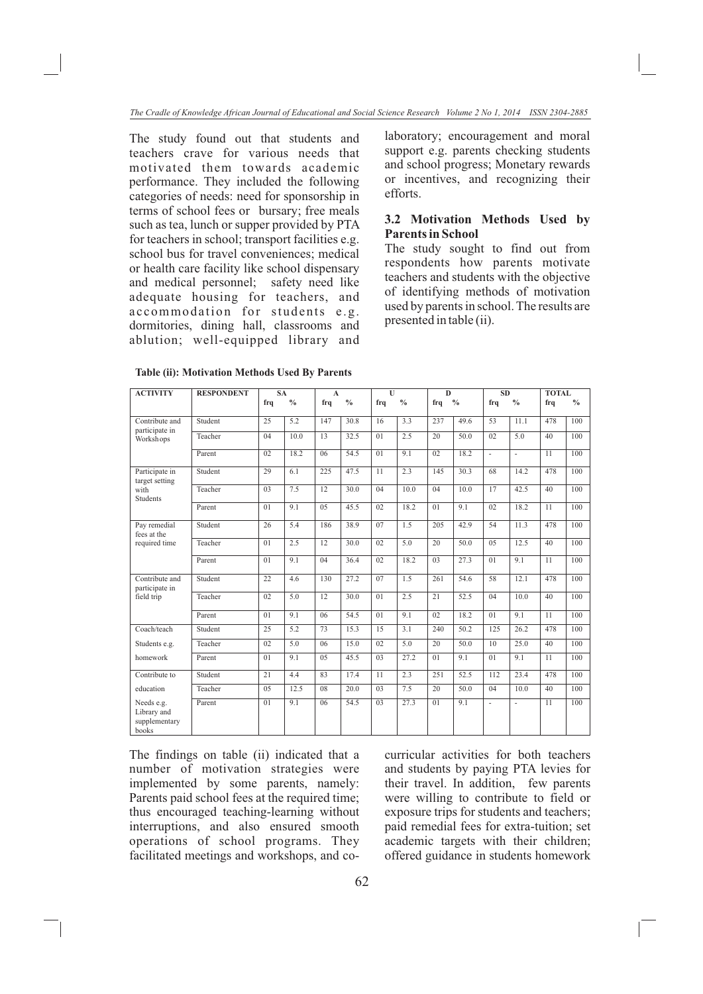The study found out that students and teachers crave for various needs that motivated them towards academic performance. They included the following categories of needs: need for sponsorship in terms of school fees or bursary; free meals such as tea, lunch or supper provided by PTA for teachers in school; transport facilities e.g. school bus for travel conveniences; medical or health care facility like school dispensary and medical personnel; safety need like adequate housing for teachers, and accommodation for students e.g. dormitories, dining hall, classrooms and ablution; well-equipped library and laboratory; encouragement and moral support e.g. parents checking students and school progress; Monetary rewards or incentives, and recognizing their efforts.

## **3.2 Motivation Methods Used by Parents in School**

The study sought to find out from respondents how parents motivate teachers and students with the objective of identifying methods of motivation used by parents in school. The results are presented in table (ii).

| <b>ACTIVITY</b>                                     | <b>RESPONDENT</b> | <b>SA</b> |               | $\mathbf{A}$ |                   | U              |               | D              |               | <b>SD</b> |               | <b>TOTAL</b> |               |
|-----------------------------------------------------|-------------------|-----------|---------------|--------------|-------------------|----------------|---------------|----------------|---------------|-----------|---------------|--------------|---------------|
|                                                     |                   | frq       | $\frac{0}{0}$ | frq          | $^{0}/_{0}$       | frq            | $\frac{0}{0}$ | frq            | $\frac{0}{0}$ | frq       | $\frac{0}{0}$ | frq          | $\frac{0}{0}$ |
| Contribute and<br>participate in                    | Student           | 25        | 5.2           | 147          | 30.8              | 16             | 3.3           | 237            | 49.6          | 53        | 11.1          | 478          | 100           |
| Workshops                                           | Teacher           | 04        | 10.0          | 13           | 32.5              | 01             | 2.5           | 20             | 50.0          | 02        | 5.0           | 40           | 100           |
|                                                     | Parent            | 02        | 18.2          | 06           | 54.5              | 01             | 9.1           | 02             | 18.2          | ä,        | à.            | 11           | 100           |
| Participate in<br>target setting                    | Student           | 29        | 6.1           | 225          | 47.5              | 11             | 2.3           | 145            | 30.3          | 68        | 14.2          | 478          | 100           |
| with<br><b>Students</b>                             | Teacher           | 03        | 7.5           | 12           | 30.0              | 04             | 10.0          | 04             | 10.0          | 17        | 42.5          | 40           | 100           |
|                                                     | Parent            | 01        | 9.1           | 0.5          | 45.5              | 02             | 18.2          | 01             | 9.1           | 02        | 18.2          | 11           | 100           |
| Pay remedial<br>fees at the                         | Student           | 26        | 5.4           | 186          | 38.9              | 07             | 1.5           | 205            | 42.9          | 54        | 11.3          | 478          | 100           |
| required time                                       | Teacher           | 01        | 2.5           | 12           | $\overline{30.0}$ | 02             | 5.0           | 20             | 50.0          | 0.5       | 12.5          | 40           | 100           |
|                                                     | Parent            | 01        | 9.1           | 04           | 36.4              | 02             | 18.2          | 0 <sub>3</sub> | 27.3          | 01        | 9.1           | 11           | 100           |
| Contribute and<br>participate in                    | Student           | 22        | 4.6           | 130          | 27.2              | 07             | 1.5           | 261            | 54.6          | 58        | 12.1          | 478          | 100           |
| field trip                                          | Teacher           | 02        | 5.0           | 12           | 30.0              | 01             | 2.5           | 21             | 52.5          | 04        | 10.0          | 40           | 100           |
|                                                     | Parent            | 01        | 9.1           | 06           | 54.5              | 01             | 9.1           | 02             | 18.2          | 01        | 9.1           | 11           | 100           |
| Coach/teach                                         | Student           | 25        | 5.2           | 73           | 15.3              | 15             | 3.1           | 240            | 50.2          | 125       | 26.2          | 478          | 100           |
| Students e.g.                                       | Teacher           | 02        | 5.0           | 06           | 15.0              | 02             | 5.0           | 20             | 50.0          | 10        | 25.0          | 40           | 100           |
| homework                                            | Parent            | 01        | 9.1           | 0.5          | 45.5              | 03             | 27.2          | 01             | 9.1           | 01        | 9.1           | 11           | 100           |
| Contribute to                                       | Student           | 21        | 4.4           | 83           | 17.4              | 11             | 2.3           | 251            | 52.5          | 112       | 23.4          | 478          | 100           |
| education                                           | Teacher           | 0.5       | 12.5          | 08           | 20.0              | 0 <sup>3</sup> | 7.5           | 20             | 50.0          | 04        | 10.0          | 40           | 100           |
| Needs e.g.<br>Library and<br>supplementary<br>books | Parent            | 01        | 9.1           | 06           | 54.5              | 03             | 27.3          | 01             | 9.1           | ÷,        | ä,            | 11           | 100           |

 The findings on table (ii) indicated that a number of motivation strategies were implemented by some parents, namely: Parents paid school fees at the required time; thus encouraged teaching-learning without interruptions, and also ensured smooth operations of school programs. They facilitated meetings and workshops, and cocurricular activities for both teachers and students by paying PTA levies for their travel. In addition, few parents were willing to contribute to field or exposure trips for students and teachers; paid remedial fees for extra-tuition; set academic targets with their children; offered guidance in students homework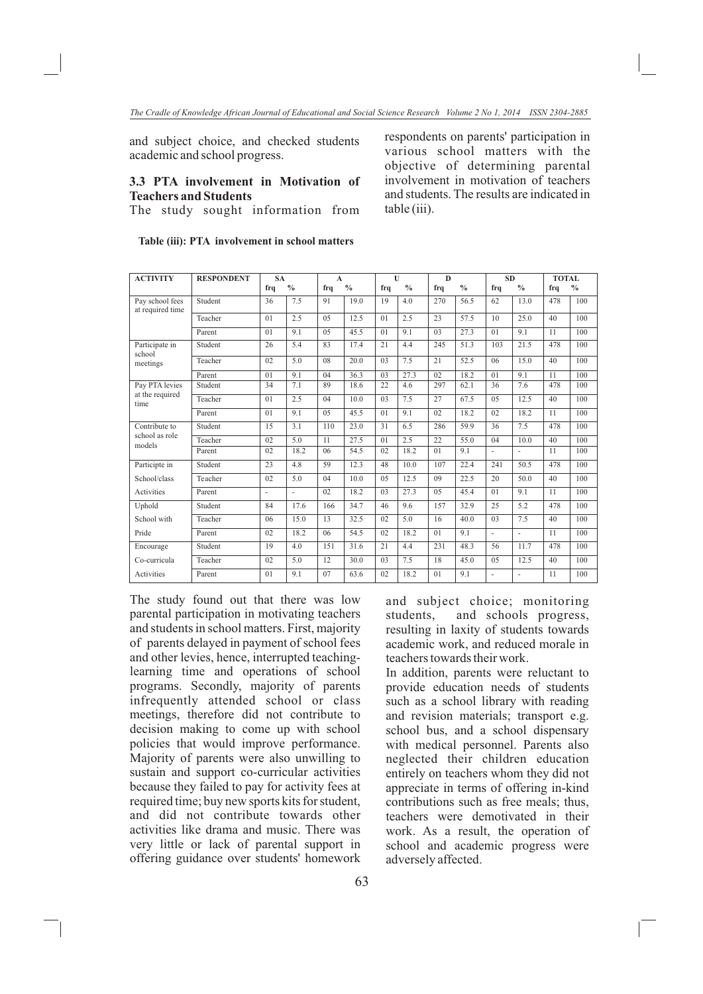and subject choice, and checked students academic and school progress.

## **3.3 PTA involvement in Motivation of Teachers and Students**

The study sought information from

respondents on parents' participation in various school matters with the objective of determining parental involvement in motivation of teachers and students. The results are indicated in table (iii).

| <b>ACTIVITY</b>                     | <b>RESPONDENT</b> | <b>SA</b> |               | $\mathbf{A}$ |               | $\mathbf{U}$   |             | $\bf{D}$       |               | <b>SD</b>      |               | <b>TOTAL</b> |               |
|-------------------------------------|-------------------|-----------|---------------|--------------|---------------|----------------|-------------|----------------|---------------|----------------|---------------|--------------|---------------|
|                                     |                   | frq       | $\frac{0}{0}$ | frq          | $\frac{0}{0}$ | frq            | $^{0}/_{0}$ | frq            | $\frac{0}{0}$ | frq            | $\frac{0}{0}$ | frq          | $\frac{0}{0}$ |
| Pay school fees<br>at required time | Student           | 36        | 7.5           | 91           | 19.0          | 19             | 4.0         | 270            | 56.5          | 62             | 13.0          | 478          | 100           |
|                                     | Teacher           | 01        | 2.5           | 0.5          | 12.5          | 01             | 2.5         | 23             | 57.5          | 10             | 25.0          | 40           | 100           |
|                                     | Parent            | 01        | 9.1           | 0.5          | 45.5          | 01             | 9.1         | 0 <sub>3</sub> | 27.3          | 01             | 9.1           | 11           | 100           |
| Participate in<br>school            | Student           | 26        | 5.4           | 83           | 17.4          | 21             | 4.4         | 245            | 51.3          | 103            | 21.5          | 478          | 100           |
| meetings                            | Teacher           | 02        | 5.0           | 08           | 20.0          | 03             | 7.5         | 21             | 52.5          | 06             | 15.0          | 40           | 100           |
|                                     | Parent            | 01        | 9.1           | 04           | 36.3          | 03             | 27.3        | 02             | 18.2          | 01             | 9.1           | 11           | 100           |
| Pay PTA levies                      | Student           | 34        | 7.1           | 89           | 18.6          | 22             | 4.6         | 297            | 62.1          | 36             | 7.6           | 478          | 100           |
| at the required<br>time             | Teacher           | 01        | 2.5           | 04           | 10.0          | 03             | 7.5         | 27             | 67.5          | 05             | 12.5          | 40           | 100           |
|                                     | Parent            | 01        | 9.1           | 0.5          | 45.5          | 01             | 9.1         | 02             | 18.2          | 02             | 18.2          | 11           | 100           |
| Contribute to                       | Student           | 15        | 3.1           | 110          | 23.0          | 31             | 6.5         | 286            | 59.9          | 36             | 7.5           | 478          | 100           |
| school as role<br>models            | Teacher           | 02        | 5.0           | 11           | 27.5          | 01             | 2.5         | 22             | 55.0          | 04             | 10.0          | 40           | 100           |
|                                     | Parent            | 02        | 18.2          | 06           | 54.5          | 02             | 18.2        | 01             | 9.1           | ÷.             |               | 11           | 100           |
| Participte in                       | Student           | 23        | 4.8           | 59           | 12.3          | 48             | 10.0        | 107            | 22.4          | 241            | 50.5          | 478          | 100           |
| School/class                        | Teacher           | 02        | 5.0           | 04           | 10.0          | 0 <sub>5</sub> | 12.5        | 09             | 22.5          | 20             | 50.0          | 40           | 100           |
| Activities                          | Parent            | ä,        | ä,            | 02           | 18.2          | 03             | 27.3        | 0.5            | 45.4          | 01             | 9.1           | 11           | 100           |
| Uphold                              | Student           | 84        | 17.6          | 166          | 34.7          | 46             | 9.6         | 157            | 32.9          | 25             | 5.2           | 478          | 100           |
| School with                         | Teacher           | 06        | 15.0          | 13           | 32.5          | 02             | 5.0         | 16             | 40.0          | 03             | 7.5           | 40           | 100           |
| Pride                               | Parent            | 02        | 18.2          | 06           | 54.5          | 02             | 18.2        | 01             | 9.1           | ä,             | ä,            | 11           | 100           |
| Encourage                           | Student           | 19        | 4.0           | 151          | 31.6          | 21             | 4.4         | 231            | 48.3          | 56             | 11.7          | 478          | 100           |
| Co-curricula                        | Teacher           | 02        | 5.0           | 12           | 30.0          | 0 <sup>3</sup> | 7.5         | 18             | 45.0          | 0 <sub>5</sub> | 12.5          | 40           | 100           |
| Activities                          | Parent            | 01        | 9.1           | 07           | 63.6          | 02             | 18.2        | 01             | 9.1           | ×.             | ٠             | 11           | 100           |

#### **Table (iii): PTA involvement in school matters**

The study found out that there was low parental participation in motivating teachers and students in school matters. First, majority of parents delayed in payment of school fees and other levies, hence, interrupted teachinglearning time and operations of school programs. Secondly, majority of parents infrequently attended school or class meetings, therefore did not contribute to decision making to come up with school policies that would improve performance. Majority of parents were also unwilling to sustain and support co-curricular activities because they failed to pay for activity fees at required time; buy new sports kits for student, and did not contribute towards other activities like drama and music. There was very little or lack of parental support in offering guidance over students' homework

and subject choice; monitoring students, and schools progress, resulting in laxity of students towards academic work, and reduced morale in teachers towards their work.

In addition, parents were reluctant to provide education needs of students such as a school library with reading and revision materials; transport e.g. school bus, and a school dispensary with medical personnel. Parents also neglected their children education entirely on teachers whom they did not appreciate in terms of offering in-kind contributions such as free meals; thus, teachers were demotivated in their work. As a result, the operation of school and academic progress were adversely affected.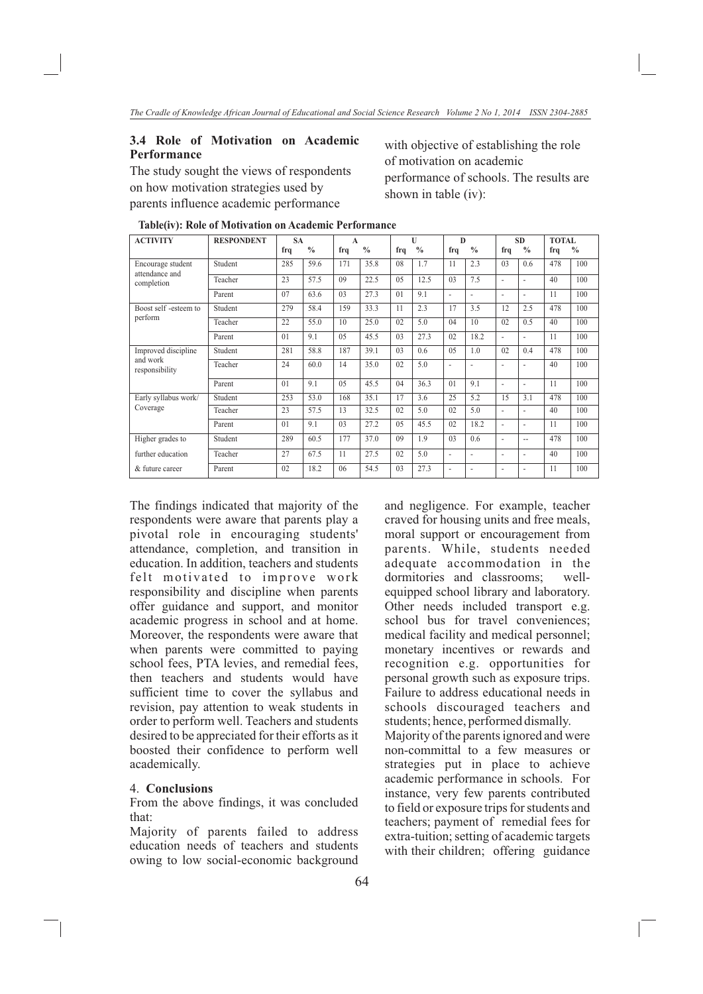## **3.4 Role of Motivation on Academic Performance**

The study sought the views of respondents on how motivation strategies used by parents influence academic performance

with objective of establishing the role of motivation on academic performance of schools. The results are shown in table (iv):

| <b>ACTIVITY</b>                                   | <b>RESPONDENT</b> | <b>SA</b> |               | A              |               | U              |               | D                        |               | <b>SD</b>      |               | <b>TOTAL</b> |               |
|---------------------------------------------------|-------------------|-----------|---------------|----------------|---------------|----------------|---------------|--------------------------|---------------|----------------|---------------|--------------|---------------|
|                                                   |                   | frq       | $\frac{0}{0}$ | frq            | $\frac{0}{0}$ | frq            | $\frac{0}{0}$ | frq                      | $\frac{0}{0}$ | frq            | $\frac{0}{0}$ | frq          | $\frac{0}{0}$ |
| Encourage student<br>attendance and<br>completion | Student           | 285       | 59.6          | 171            | 35.8          | 08             | 1.7           | 11                       | 2.3           | 0 <sub>3</sub> | $0.6^{\circ}$ | 478          | 100           |
|                                                   | Teacher           | 23        | 57.5          | 09             | 22.5          | 0.5            | 12.5          | 0 <sub>3</sub>           | 7.5           | ٠              |               | 40           | 100           |
|                                                   | Parent            | 07        | 63.6          | 0 <sub>3</sub> | 27.3          | 01             | 9.1           | ٠                        | ٠             | ٠              |               | 11           | 100           |
| Boost self -esteem to<br>perform                  | Student           | 279       | 58.4          | 159            | 33.3          | 11             | 2.3           | 17                       | 3.5           | 12             | 2.5           | 478          | 100           |
|                                                   | Teacher           | 22        | 55.0          | 10             | 25.0          | 02             | 5.0           | 04                       | 10            | 02             | 0.5           | 40           | 100           |
|                                                   | Parent            | 01        | 9.1           | 0.5            | 45.5          | 0 <sub>3</sub> | 27.3          | 02                       | 18.2          | ٠              |               | 11           | 100           |
| Improved discipline<br>and work<br>responsibility | Student           | 281       | 58.8          | 187            | 39.1          | 0 <sub>3</sub> | 0.6           | 0.5                      | 1.0           | 02             | 0.4           | 478          | 100           |
|                                                   | Teacher           | 24        | 60.0          | 14             | 35.0          | 02             | 5.0           | $\overline{\phantom{a}}$ |               |                |               | 40           | 100           |
|                                                   | Parent            | 01        | 9.1           | 0.5            | 45.5          | 04             | 36.3          | 01                       | 9.1           | ٠              | ٠             | 11           | 100           |
| Early syllabus work/                              | Student           | 253       | 53.0          | 168            | 35.1          | 17             | 3.6           | 25                       | 5.2           | 15             | 3.1           | 478          | 100           |
| Coverage                                          | Teacher           | 23        | 57.5          | 13             | 32.5          | 02             | 5.0           | 02                       | 5.0           | ٠              |               | 40           | 100           |
|                                                   | Parent            | 01        | 9.1           | 0 <sub>3</sub> | 27.2          | 0.5            | 45.5          | 02                       | 18.2          | ÷,             |               | 11           | 100           |
| Higher grades to                                  | Student           | 289       | 60.5          | 177            | 37.0          | 09             | 1.9           | 0 <sub>3</sub>           | 0.6           | ÷,             | $\sim$        | 478          | 100           |
| further education                                 | Teacher           | 27        | 67.5          | 11             | 27.5          | 02             | 5.0           | ٠                        | ٠             | ۰              |               | 40           | 100           |
| & future career                                   | Parent            | 02        | 18.2          | 06             | 54.5          | 03             | 27.3          | ٠                        | ٠             | ۰              |               | 11           | 100           |

**Table(iv): Role of Motivation on Academic Performance**

The findings indicated that majority of the respondents were aware that parents play a pivotal role in encouraging students' attendance, completion, and transition in education. In addition, teachers and students felt motivated to improve work responsibility and discipline when parents offer guidance and support, and monitor academic progress in school and at home. Moreover, the respondents were aware that when parents were committed to paying school fees, PTA levies, and remedial fees, then teachers and students would have sufficient time to cover the syllabus and revision, pay attention to weak students in order to perform well. Teachers and students desired to be appreciated for their efforts as it boosted their confidence to perform well academically.

#### 4. **Conclusions**

From the above findings, it was concluded that:

Majority of parents failed to address education needs of teachers and students owing to low social-economic background and negligence. For example, teacher craved for housing units and free meals, moral support or encouragement from parents. While, students needed adequate accommodation in the dormitories and classrooms; wellequipped school library and laboratory. Other needs included transport e.g. school bus for travel conveniences; medical facility and medical personnel; monetary incentives or rewards and recognition e.g. opportunities for personal growth such as exposure trips. Failure to address educational needs in schools discouraged teachers and students; hence, performed dismally. Majority of the parents ignored and were non-committal to a few measures or strategies put in place to achieve academic performance in schools. For instance, very few parents contributed to field or exposure trips for students and teachers; payment of remedial fees for extra-tuition; setting of academic targets with their children; offering guidance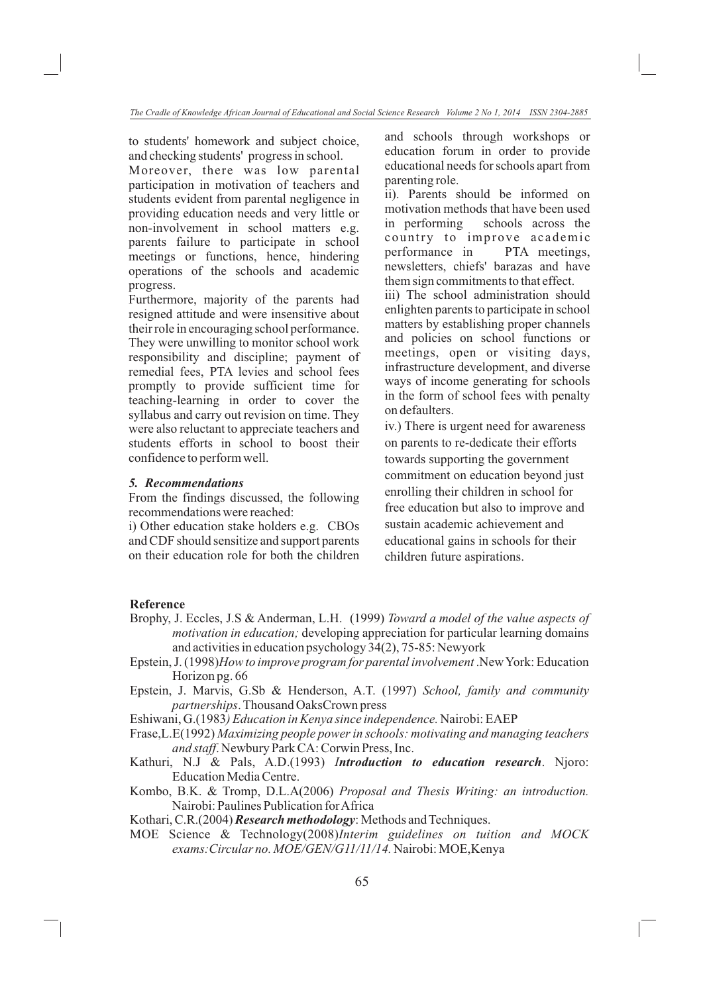to students' homework and subject choice, and checking students' progress in school.

Moreover, there was low parental participation in motivation of teachers and students evident from parental negligence in providing education needs and very little or non-involvement in school matters e.g. parents failure to participate in school meetings or functions, hence, hindering operations of the schools and academic progress.

Furthermore, majority of the parents had resigned attitude and were insensitive about their role in encouraging school performance. They were unwilling to monitor school work responsibility and discipline; payment of remedial fees, PTA levies and school fees promptly to provide sufficient time for teaching-learning in order to cover the syllabus and carry out revision on time. They were also reluctant to appreciate teachers and students efforts in school to boost their confidence to perform well.

### *5. Recommendations*

From the findings discussed, the following recommendations were reached:

i) Other education stake holders e.g. CBOs and CDF should sensitize and support parents on their education role for both the children and schools through workshops or education forum in order to provide educational needs for schools apart from parenting role.

ii). Parents should be informed on motivation methods that have been used in performing schools across the country to improve academic performance in PTA meetings, newsletters, chiefs' barazas and have them sign commitments to that effect.

iii) The school administration should enlighten parents to participate in school matters by establishing proper channels and policies on school functions or meetings, open or visiting days, infrastructure development, and diverse ways of income generating for schools in the form of school fees with penalty on defaulters.

iv.) There is urgent need for awareness on parents to re-dedicate their efforts towards supporting the government commitment on education beyond just enrolling their children in school for free education but also to improve and sustain academic achievement and educational gains in schools for their children future aspirations.

# **Reference**

- Brophy, J. Eccles, J.S & Anderman, L.H. (1999) *Toward a model of the value aspects of motivation in education;* developing appreciation for particular learning domains and activities in education psychology 34(2), 75-85: Newyork
- Epstein, J. (1998)*How to improve program for parental involvement* .New York: Education Horizon pg. 66
- Epstein, J. Marvis, G.Sb & Henderson, A.T. (1997) *School, family and community partnerships*. Thousand OaksCrown press
- Eshiwani, G.(1983*) Education in Kenya since independence.* Nairobi: EAEP
- Frase,L.E(1992) *Maximizing people power in schools: motivating and managing teachers and staff*. Newbury Park CA: Corwin Press, Inc.
- Kathuri, N.J & Pals, A.D.(1993) *Introduction to education research*. Njoro: Education Media Centre.
- Kombo, B.K. & Tromp, D.L.A(2006) *Proposal and Thesis Writing: an introduction.*  Nairobi: Paulines Publication for Africa

Kothari, C.R.(2004) *Research methodology*: Methods and Techniques.

MOE Science & Technology(2008)*Interim guidelines on tuition and MOCK exams:Circular no. MOE/GEN/G11/11/14.* Nairobi: MOE,Kenya